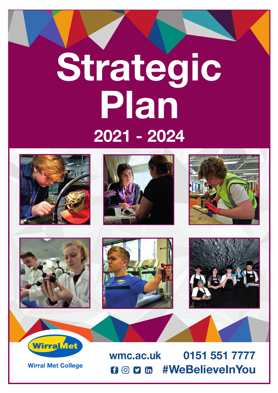# **Strategic Plan 2021 - 2024**









WirraMet

**Wirral Met College** 





**wmc.ac.uk 0151 551 7777 #WeBelieveInYou**  $f$  $\odot$   $g$  $\odot$